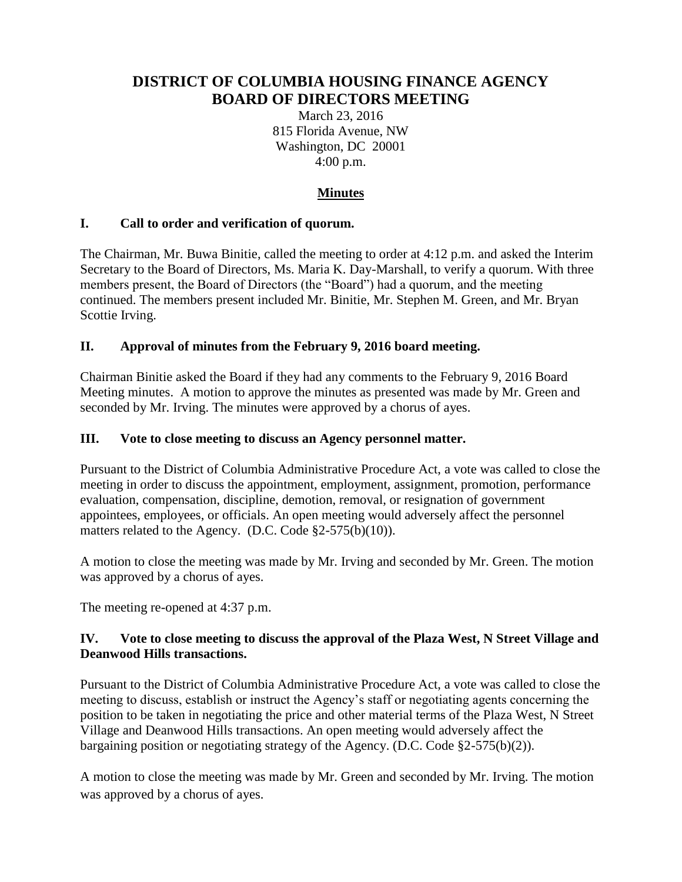# **DISTRICT OF COLUMBIA HOUSING FINANCE AGENCY BOARD OF DIRECTORS MEETING**

March 23, 2016 815 Florida Avenue, NW Washington, DC 20001 4:00 p.m.

# **Minutes**

### **I. Call to order and verification of quorum.**

The Chairman, Mr. Buwa Binitie, called the meeting to order at 4:12 p.m. and asked the Interim Secretary to the Board of Directors, Ms. Maria K. Day-Marshall, to verify a quorum. With three members present, the Board of Directors (the "Board") had a quorum, and the meeting continued. The members present included Mr. Binitie, Mr. Stephen M. Green, and Mr. Bryan Scottie Irving.

### **II. Approval of minutes from the February 9, 2016 board meeting.**

Chairman Binitie asked the Board if they had any comments to the February 9, 2016 Board Meeting minutes. A motion to approve the minutes as presented was made by Mr. Green and seconded by Mr. Irving. The minutes were approved by a chorus of ayes.

#### **III. Vote to close meeting to discuss an Agency personnel matter.**

Pursuant to the District of Columbia Administrative Procedure Act, a vote was called to close the meeting in order to discuss the appointment, employment, assignment, promotion, performance evaluation, compensation, discipline, demotion, removal, or resignation of government appointees, employees, or officials. An open meeting would adversely affect the personnel matters related to the Agency. (D.C. Code §2-575(b)(10)).

A motion to close the meeting was made by Mr. Irving and seconded by Mr. Green. The motion was approved by a chorus of ayes.

The meeting re-opened at 4:37 p.m.

### **IV. Vote to close meeting to discuss the approval of the Plaza West, N Street Village and Deanwood Hills transactions.**

Pursuant to the District of Columbia Administrative Procedure Act, a vote was called to close the meeting to discuss, establish or instruct the Agency's staff or negotiating agents concerning the position to be taken in negotiating the price and other material terms of the Plaza West, N Street Village and Deanwood Hills transactions. An open meeting would adversely affect the bargaining position or negotiating strategy of the Agency. (D.C. Code §2-575(b)(2)).

A motion to close the meeting was made by Mr. Green and seconded by Mr. Irving. The motion was approved by a chorus of ayes.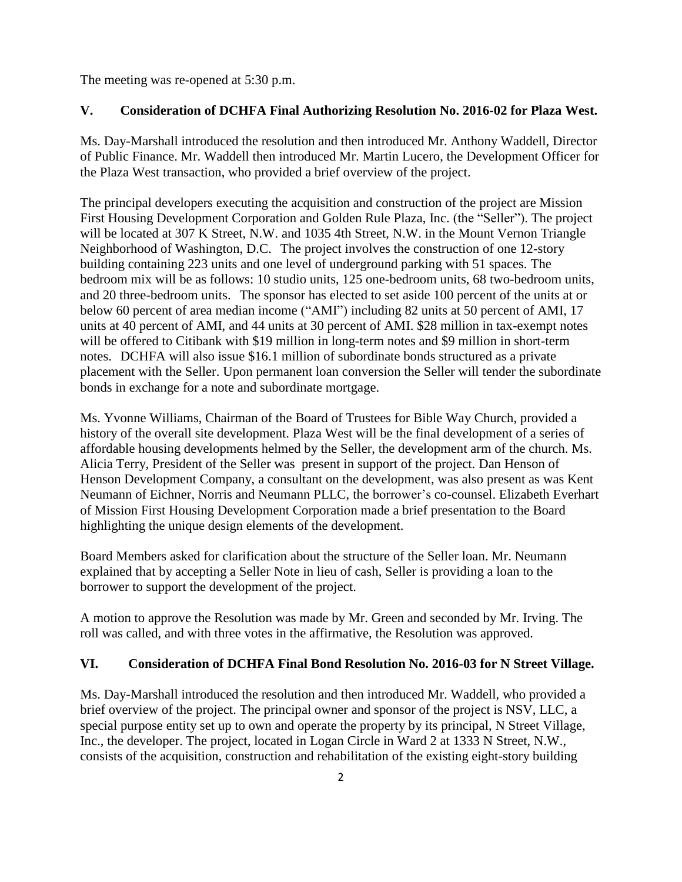The meeting was re-opened at 5:30 p.m.

#### **V. Consideration of DCHFA Final Authorizing Resolution No. 2016-02 for Plaza West.**

Ms. Day-Marshall introduced the resolution and then introduced Mr. Anthony Waddell, Director of Public Finance. Mr. Waddell then introduced Mr. Martin Lucero, the Development Officer for the Plaza West transaction, who provided a brief overview of the project.

The principal developers executing the acquisition and construction of the project are Mission First Housing Development Corporation and Golden Rule Plaza, Inc. (the "Seller"). The project will be located at 307 K Street, N.W. and 1035 4th Street, N.W. in the Mount Vernon Triangle Neighborhood of Washington, D.C. The project involves the construction of one 12-story building containing 223 units and one level of underground parking with 51 spaces. The bedroom mix will be as follows: 10 studio units, 125 one-bedroom units, 68 two-bedroom units, and 20 three-bedroom units. The sponsor has elected to set aside 100 percent of the units at or below 60 percent of area median income ("AMI") including 82 units at 50 percent of AMI, 17 units at 40 percent of AMI, and 44 units at 30 percent of AMI. \$28 million in tax-exempt notes will be offered to Citibank with \$19 million in long-term notes and \$9 million in short-term notes. DCHFA will also issue \$16.1 million of subordinate bonds structured as a private placement with the Seller. Upon permanent loan conversion the Seller will tender the subordinate bonds in exchange for a note and subordinate mortgage.

Ms. Yvonne Williams, Chairman of the Board of Trustees for Bible Way Church, provided a history of the overall site development. Plaza West will be the final development of a series of affordable housing developments helmed by the Seller, the development arm of the church. Ms. Alicia Terry, President of the Seller was present in support of the project. Dan Henson of Henson Development Company, a consultant on the development, was also present as was Kent Neumann of Eichner, Norris and Neumann PLLC, the borrower's co-counsel. Elizabeth Everhart of Mission First Housing Development Corporation made a brief presentation to the Board highlighting the unique design elements of the development.

Board Members asked for clarification about the structure of the Seller loan. Mr. Neumann explained that by accepting a Seller Note in lieu of cash, Seller is providing a loan to the borrower to support the development of the project.

A motion to approve the Resolution was made by Mr. Green and seconded by Mr. Irving. The roll was called, and with three votes in the affirmative, the Resolution was approved.

#### **VI. Consideration of DCHFA Final Bond Resolution No. 2016-03 for N Street Village.**

Ms. Day-Marshall introduced the resolution and then introduced Mr. Waddell, who provided a brief overview of the project. The principal owner and sponsor of the project is NSV, LLC, a special purpose entity set up to own and operate the property by its principal, N Street Village, Inc., the developer. The project, located in Logan Circle in Ward 2 at 1333 N Street, N.W., consists of the acquisition, construction and rehabilitation of the existing eight-story building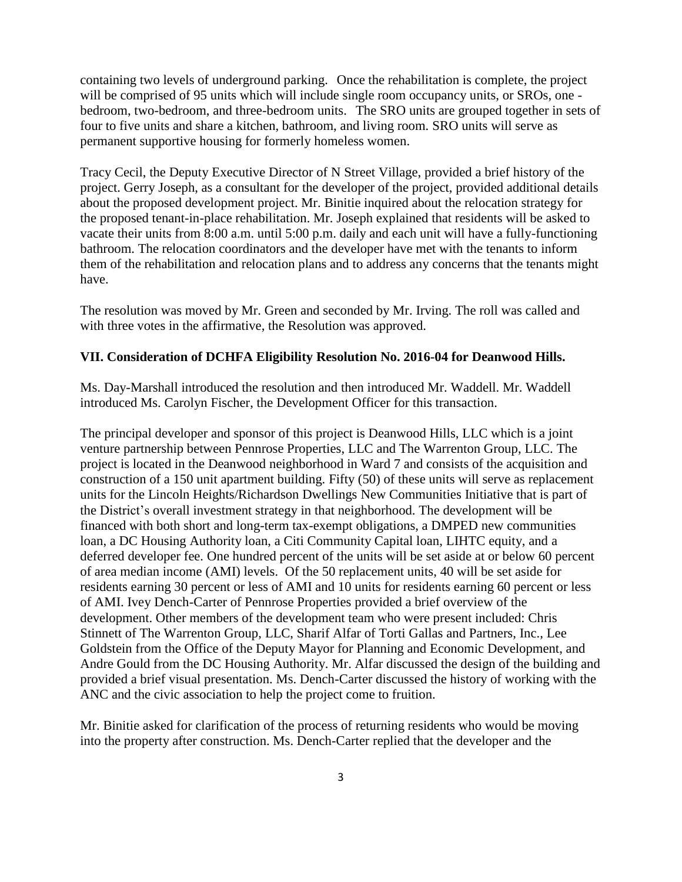containing two levels of underground parking. Once the rehabilitation is complete, the project will be comprised of 95 units which will include single room occupancy units, or SROs, one bedroom, two-bedroom, and three-bedroom units. The SRO units are grouped together in sets of four to five units and share a kitchen, bathroom, and living room. SRO units will serve as permanent supportive housing for formerly homeless women.

Tracy Cecil, the Deputy Executive Director of N Street Village, provided a brief history of the project. Gerry Joseph, as a consultant for the developer of the project, provided additional details about the proposed development project. Mr. Binitie inquired about the relocation strategy for the proposed tenant-in-place rehabilitation. Mr. Joseph explained that residents will be asked to vacate their units from 8:00 a.m. until 5:00 p.m. daily and each unit will have a fully-functioning bathroom. The relocation coordinators and the developer have met with the tenants to inform them of the rehabilitation and relocation plans and to address any concerns that the tenants might have.

The resolution was moved by Mr. Green and seconded by Mr. Irving. The roll was called and with three votes in the affirmative, the Resolution was approved.

#### **VII. Consideration of DCHFA Eligibility Resolution No. 2016-04 for Deanwood Hills.**

Ms. Day-Marshall introduced the resolution and then introduced Mr. Waddell. Mr. Waddell introduced Ms. Carolyn Fischer, the Development Officer for this transaction.

The principal developer and sponsor of this project is Deanwood Hills, LLC which is a joint venture partnership between Pennrose Properties, LLC and The Warrenton Group, LLC. The project is located in the Deanwood neighborhood in Ward 7 and consists of the acquisition and construction of a 150 unit apartment building. Fifty (50) of these units will serve as replacement units for the Lincoln Heights/Richardson Dwellings New Communities Initiative that is part of the District's overall investment strategy in that neighborhood. The development will be financed with both short and long-term tax-exempt obligations, a DMPED new communities loan, a DC Housing Authority loan, a Citi Community Capital loan, LIHTC equity, and a deferred developer fee. One hundred percent of the units will be set aside at or below 60 percent of area median income (AMI) levels. Of the 50 replacement units, 40 will be set aside for residents earning 30 percent or less of AMI and 10 units for residents earning 60 percent or less of AMI. Ivey Dench-Carter of Pennrose Properties provided a brief overview of the development. Other members of the development team who were present included: Chris Stinnett of The Warrenton Group, LLC, Sharif Alfar of Torti Gallas and Partners, Inc., Lee Goldstein from the Office of the Deputy Mayor for Planning and Economic Development, and Andre Gould from the DC Housing Authority. Mr. Alfar discussed the design of the building and provided a brief visual presentation. Ms. Dench-Carter discussed the history of working with the ANC and the civic association to help the project come to fruition.

Mr. Binitie asked for clarification of the process of returning residents who would be moving into the property after construction. Ms. Dench-Carter replied that the developer and the